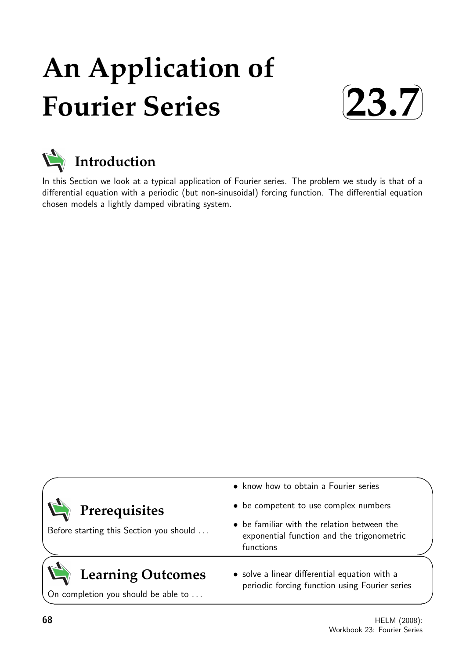# **An Application of Fourier Series**





In this Section we look at a typical application of Fourier series. The problem we study is that of a differential equation with a periodic (but non-sinusoidal) forcing function. The differential equation chosen models a lightly damped vibrating system.

| $\sum$ Prerequisites<br>Before starting this Section you should | • know how to obtain a Fourier series                                                                  |  |
|-----------------------------------------------------------------|--------------------------------------------------------------------------------------------------------|--|
|                                                                 | • be competent to use complex numbers                                                                  |  |
|                                                                 | • be familiar with the relation between the<br>exponential function and the trigonometric<br>functions |  |
| <b>Learning Outcomes</b>                                        | • solve a linear differential equation with a<br>periodic forcing function using Fourier series        |  |

On completion you should be able to . . .

**68** HELM (2008): Workbook 23: Fourier Series

 $\overline{\phantom{0}}$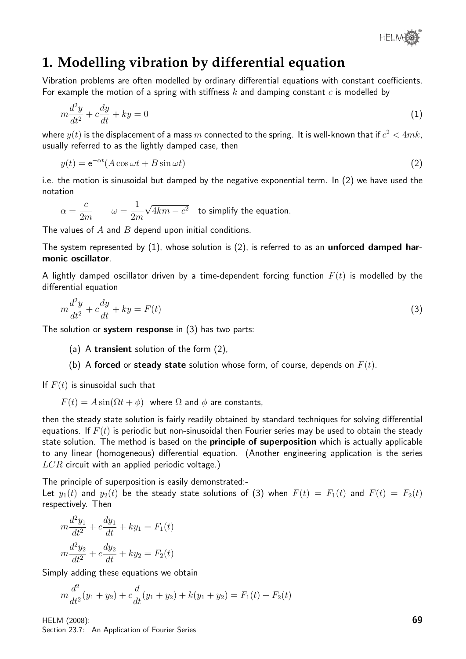

# **1. Modelling vibration by differential equation**

Vibration problems are often modelled by ordinary differential equations with constant coefficients. For example the motion of a spring with stiffness  $k$  and damping constant  $c$  is modelled by

$$
m\frac{d^2y}{dt^2} + c\frac{dy}{dt} + ky = 0\tag{1}
$$

where  $y(t)$  is the displacement of a mass  $m$  connected to the spring. It is well-known that if  $c^2 < 4mk$ , usually referred to as the lightly damped case, then

$$
y(t) = e^{-\alpha t} (A \cos \omega t + B \sin \omega t)
$$
 (2)

i.e. the motion is sinusoidal but damped by the negative exponential term. In (2) we have used the notation

$$
\alpha = \frac{c}{2m}
$$
  $\qquad \omega = \frac{1}{2m} \sqrt{4km - c^2}$  to simplify the equation.

The values of  $A$  and  $B$  depend upon initial conditions.

The system represented by  $(1)$ , whose solution is  $(2)$ , is referred to as an **unforced damped har**monic oscillator.

A lightly damped oscillator driven by a time-dependent forcing function  $F(t)$  is modelled by the differential equation

$$
m\frac{d^2y}{dt^2} + c\frac{dy}{dt} + ky = F(t)
$$
\n(3)

The solution or system response in  $(3)$  has two parts:

(a) A transient solution of the form (2),

(b) A forced or steady state solution whose form, of course, depends on  $F(t)$ .

If  $F(t)$  is sinusoidal such that

 $F(t) = A \sin(\Omega t + \phi)$  where  $\Omega$  and  $\phi$  are constants,

then the steady state solution is fairly readily obtained by standard techniques for solving differential equations. If  $F(t)$  is periodic but non-sinusoidal then Fourier series may be used to obtain the steady state solution. The method is based on the **principle of superposition** which is actually applicable to any linear (homogeneous) differential equation. (Another engineering application is the series  $LCR$  circuit with an applied periodic voltage.)

The principle of superposition is easily demonstrated:-

Let  $y_1(t)$  and  $y_2(t)$  be the steady state solutions of (3) when  $F(t) = F_1(t)$  and  $F(t) = F_2(t)$ respectively. Then

$$
m\frac{d^2y_1}{dt^2} + c\frac{dy_1}{dt} + ky_1 = F_1(t)
$$
  

$$
m\frac{d^2y_2}{dt^2} + c\frac{dy_2}{dt} + ky_2 = F_2(t)
$$

Simply adding these equations we obtain

$$
m\frac{d^2}{dt^2}(y_1+y_2) + c\frac{d}{dt}(y_1+y_2) + k(y_1+y_2) = F_1(t) + F_2(t)
$$

HELM (2008): Section 23.7: An Application of Fourier Series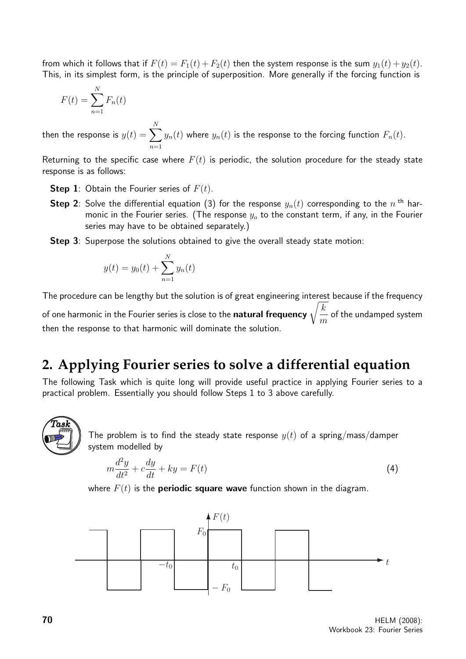from which it follows that if  $F(t) = F_1(t) + F_2(t)$  then the system response is the sum  $y_1(t) + y_2(t)$ . This, in its simplest form, is the principle of superposition. More generally if the forcing function is

$$
F(t) = \sum_{n=1}^{N} F_n(t)
$$

then the response is  $y(t)=\sum_{i=1}^{\infty}y_i$ N  $n=1$  $y_n(t)$  where  $y_n(t)$  is the response to the forcing function  $F_n(t).$ 

Returning to the specific case where  $F(t)$  is periodic, the solution procedure for the steady state response is as follows:

- **Step 1:** Obtain the Fourier series of  $F(t)$ .
- <code>Step 2</code>: Solve the differential equation (3) for the response  $y_n(t)$  corresponding to the  $n$  <sup>th</sup> harmonic in the Fourier series. (The response  $y<sub>o</sub>$  to the constant term, if any, in the Fourier series may have to be obtained separately.)
- **Step 3:** Superpose the solutions obtained to give the overall steady state motion:

$$
y(t) = y_0(t) + \sum_{n=1}^{N} y_n(t)
$$

The procedure can be lengthy but the solution is of great engineering interest because if the frequency of one harmonic in the Fourier series is close to the **natural frequency**  $\sqrt{\frac{k}{n}}$ m of the undamped system then the response to that harmonic will dominate the solution.

# **2. Applying Fourier series to solve a differential equation**

The following Task which is quite long will provide useful practice in applying Fourier series to a practical problem. Essentially you should follow Steps 1 to 3 above carefully.



The problem is to find the steady state response  $y(t)$  of a spring/mass/damper system modelled by

$$
m\frac{d^2y}{dt^2} + c\frac{dy}{dt} + ky = F(t)
$$
\n(4)

where  $F(t)$  is the **periodic square wave** function shown in the diagram.

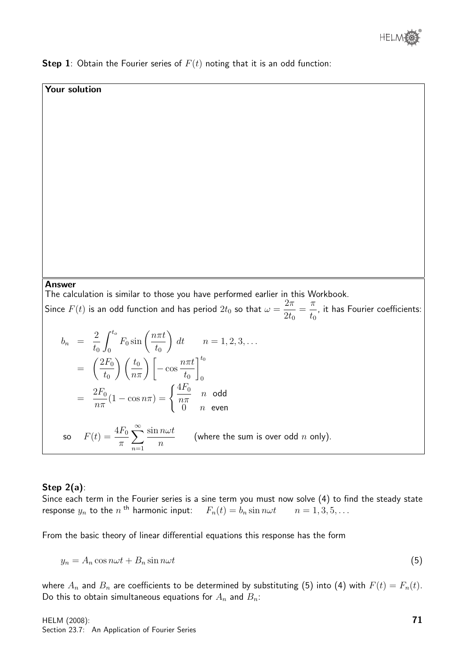

**Step 1**: Obtain the Fourier series of  $F(t)$  noting that it is an odd function:

#### Your solution

Answer

The calculation is similar to those you have performed earlier in this Workbook.

Since  $F(t)$  is an odd function and has period  $2t_0$  so that  $\omega=$  $2\pi$  $2t_0$ =  $\pi$  $t_0$ , it has Fourier coefficients:

$$
b_n = \frac{2}{t_0} \int_0^{t_0} F_0 \sin\left(\frac{n\pi t}{t_0}\right) dt \qquad n = 1, 2, 3, ...
$$
  
\n
$$
= \left(\frac{2F_0}{t_0}\right) \left(\frac{t_0}{n\pi}\right) \left[-\cos\frac{n\pi t}{t_0}\right]_0^{t_0}
$$
  
\n
$$
= \frac{2F_0}{n\pi} (1 - \cos n\pi) = \begin{cases} \frac{4F_0}{n\pi} & n \text{ odd} \\ 0 & n \text{ even} \end{cases}
$$
  
\nso  $F(t) = \frac{4F_0}{\pi} \sum_{n=1}^{\infty} \frac{\sin n\omega t}{n}$  (where the sum is over odd *n* only).

#### Step 2(a):

Since each term in the Fourier series is a sine term you must now solve (4) to find the steady state response  $y_n$  to the  $n$ <sup>th</sup> harmonic input:  $F_n(t) = b_n \sin n\omega t$   $n = 1, 3, 5, ...$ 

From the basic theory of linear differential equations this response has the form

$$
y_n = A_n \cos n\omega t + B_n \sin n\omega t \tag{5}
$$

where  $A_n$  and  $B_n$  are coefficients to be determined by substituting (5) into (4) with  $F(t) = F_n(t)$ . Do this to obtain simultaneous equations for  $A_n$  and  $B_n$ :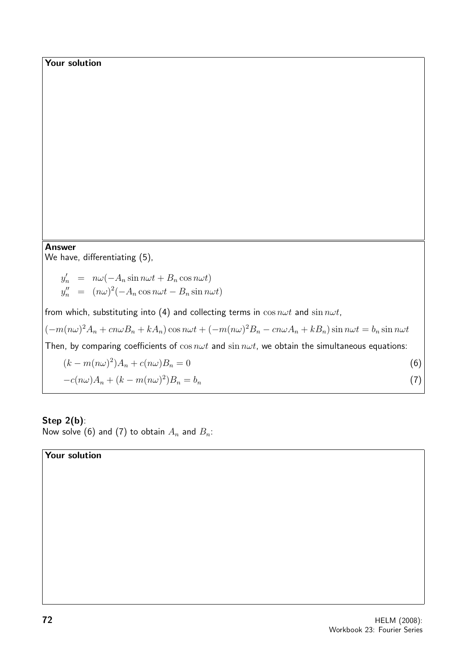## Your solution

#### Answer

We have, differentiating (5),

 $y'_n = n\omega(-A_n \sin n\omega t + B_n \cos n\omega t)$  $y''_n = (n\omega)^2(-A_n\cos n\omega t - B_n\sin n\omega t)$ 

from which, substituting into (4) and collecting terms in  $\cos n\omega t$  and  $\sin n\omega t$ ,

 $(-m(n\omega)^2A_n + cn\omega B_n + kA_n)\cos n\omega t + (-m(n\omega)^2B_n - cn\omega A_n + kB_n)\sin n\omega t = b_n\sin n\omega t$ 

Then, by comparing coefficients of  $\cos n\omega t$  and  $\sin n\omega t$ , we obtain the simultaneous equations:

$$
(k - m(n\omega)^2)A_n + c(n\omega)B_n = 0
$$
  
-c(n\omega)A\_n + (k - m(n\omega)^2)B\_n = b\_n (7)

## Step  $2(b)$ :

Now solve (6) and (7) to obtain  $A_n$  and  $B_n$ :

### Your solution